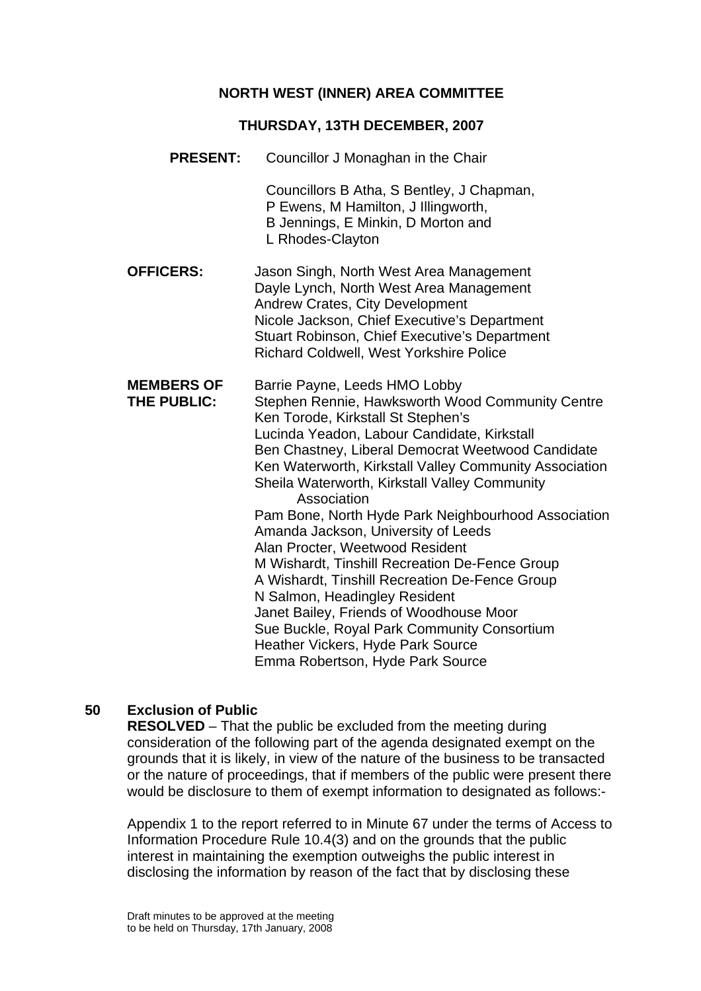## **NORTH WEST (INNER) AREA COMMITTEE**

#### **THURSDAY, 13TH DECEMBER, 2007**

**PRESENT:** Councillor J Monaghan in the Chair

Councillors B Atha, S Bentley, J Chapman, P Ewens, M Hamilton, J Illingworth, B Jennings, E Minkin, D Morton and L Rhodes-Clayton

**OFFICERS:** Jason Singh, North West Area Management Dayle Lynch, North West Area Management Andrew Crates, City Development Nicole Jackson, Chief Executive's Department Stuart Robinson, Chief Executive's Department Richard Coldwell, West Yorkshire Police

**MEMBERS OF** Barrie Payne, Leeds HMO Lobby **THE PUBLIC:** Stephen Rennie, Hawksworth Wood Community Centre Ken Torode, Kirkstall St Stephen's Lucinda Yeadon, Labour Candidate, Kirkstall Ben Chastney, Liberal Democrat Weetwood Candidate Ken Waterworth, Kirkstall Valley Community Association Sheila Waterworth, Kirkstall Valley Community Association Pam Bone, North Hyde Park Neighbourhood Association Amanda Jackson, University of Leeds Alan Procter, Weetwood Resident M Wishardt, Tinshill Recreation De-Fence Group A Wishardt, Tinshill Recreation De-Fence Group N Salmon, Headingley Resident Janet Bailey, Friends of Woodhouse Moor Sue Buckle, Royal Park Community Consortium Heather Vickers, Hyde Park Source Emma Robertson, Hyde Park Source

# **50 Exclusion of Public**

**RESOLVED** – That the public be excluded from the meeting during consideration of the following part of the agenda designated exempt on the grounds that it is likely, in view of the nature of the business to be transacted or the nature of proceedings, that if members of the public were present there would be disclosure to them of exempt information to designated as follows:-

Appendix 1 to the report referred to in Minute 67 under the terms of Access to Information Procedure Rule 10.4(3) and on the grounds that the public interest in maintaining the exemption outweighs the public interest in disclosing the information by reason of the fact that by disclosing these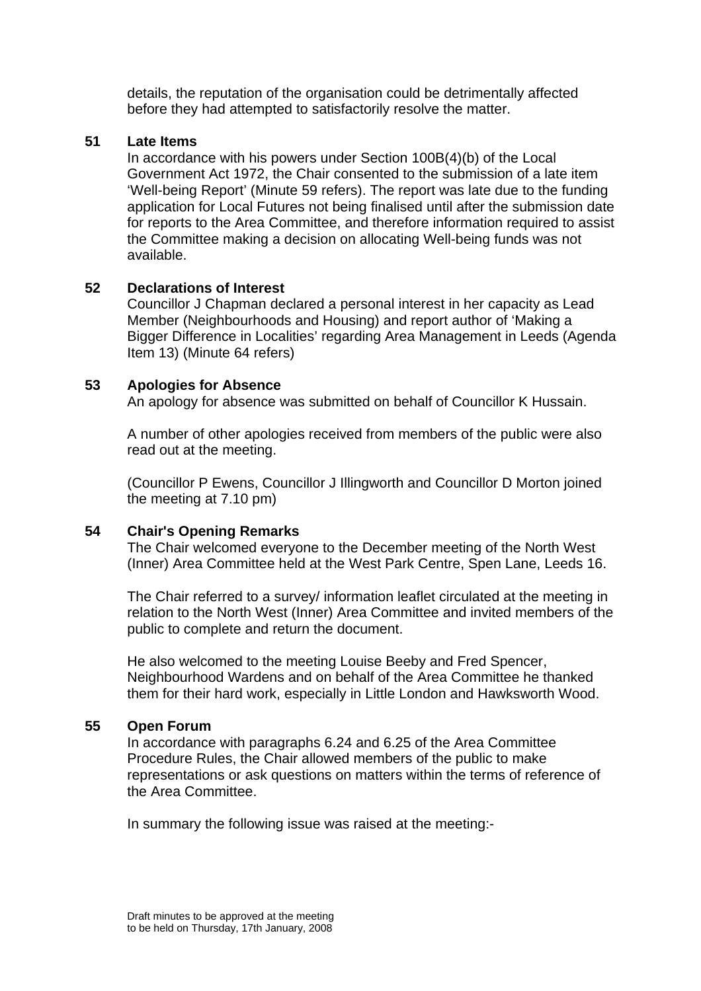details, the reputation of the organisation could be detrimentally affected before they had attempted to satisfactorily resolve the matter.

#### **51 Late Items**

In accordance with his powers under Section 100B(4)(b) of the Local Government Act 1972, the Chair consented to the submission of a late item 'Well-being Report' (Minute 59 refers). The report was late due to the funding application for Local Futures not being finalised until after the submission date for reports to the Area Committee, and therefore information required to assist the Committee making a decision on allocating Well-being funds was not available.

#### **52 Declarations of Interest**

Councillor J Chapman declared a personal interest in her capacity as Lead Member (Neighbourhoods and Housing) and report author of 'Making a Bigger Difference in Localities' regarding Area Management in Leeds (Agenda Item 13) (Minute 64 refers)

### **53 Apologies for Absence**

An apology for absence was submitted on behalf of Councillor K Hussain.

A number of other apologies received from members of the public were also read out at the meeting.

(Councillor P Ewens, Councillor J Illingworth and Councillor D Morton joined the meeting at 7.10 pm)

### **54 Chair's Opening Remarks**

The Chair welcomed everyone to the December meeting of the North West (Inner) Area Committee held at the West Park Centre, Spen Lane, Leeds 16.

The Chair referred to a survey/ information leaflet circulated at the meeting in relation to the North West (Inner) Area Committee and invited members of the public to complete and return the document.

He also welcomed to the meeting Louise Beeby and Fred Spencer, Neighbourhood Wardens and on behalf of the Area Committee he thanked them for their hard work, especially in Little London and Hawksworth Wood.

#### **55 Open Forum**

In accordance with paragraphs 6.24 and 6.25 of the Area Committee Procedure Rules, the Chair allowed members of the public to make representations or ask questions on matters within the terms of reference of the Area Committee.

In summary the following issue was raised at the meeting:-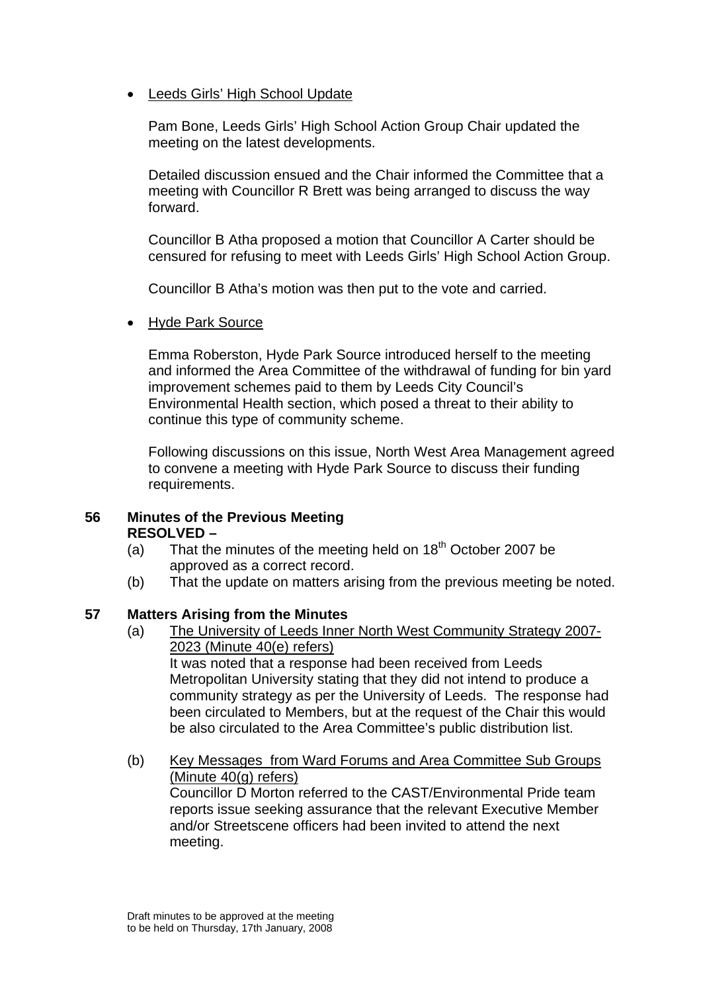• Leeds Girls' High School Update

Pam Bone, Leeds Girls' High School Action Group Chair updated the meeting on the latest developments.

Detailed discussion ensued and the Chair informed the Committee that a meeting with Councillor R Brett was being arranged to discuss the way forward.

Councillor B Atha proposed a motion that Councillor A Carter should be censured for refusing to meet with Leeds Girls' High School Action Group.

Councillor B Atha's motion was then put to the vote and carried.

• Hyde Park Source

Emma Roberston, Hyde Park Source introduced herself to the meeting and informed the Area Committee of the withdrawal of funding for bin yard improvement schemes paid to them by Leeds City Council's Environmental Health section, which posed a threat to their ability to continue this type of community scheme.

Following discussions on this issue, North West Area Management agreed to convene a meeting with Hyde Park Source to discuss their funding requirements.

#### **56 Minutes of the Previous Meeting RESOLVED –**

- (a) That the minutes of the meeting held on  $18<sup>th</sup>$  October 2007 be approved as a correct record.
- (b) That the update on matters arising from the previous meeting be noted.

### **57 Matters Arising from the Minutes**

(a) The University of Leeds Inner North West Community Strategy 2007- 2023 (Minute 40(e) refers)

It was noted that a response had been received from Leeds Metropolitan University stating that they did not intend to produce a community strategy as per the University of Leeds. The response had been circulated to Members, but at the request of the Chair this would be also circulated to the Area Committee's public distribution list.

(b) Key Messages from Ward Forums and Area Committee Sub Groups (Minute 40(g) refers) Councillor D Morton referred to the CAST/Environmental Pride team reports issue seeking assurance that the relevant Executive Member and/or Streetscene officers had been invited to attend the next meeting.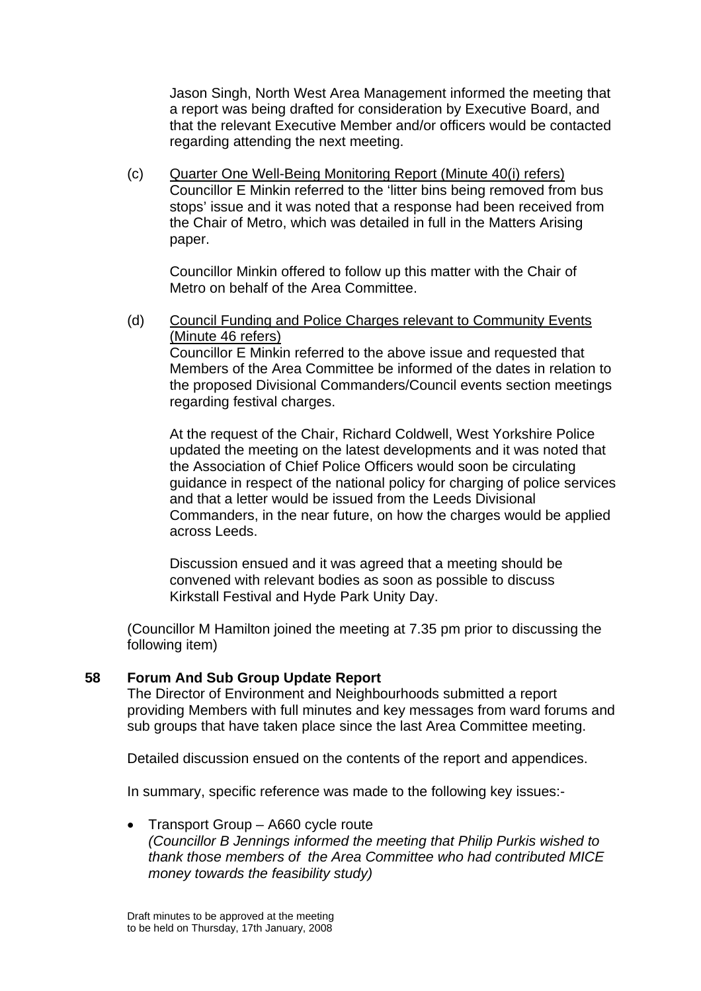Jason Singh, North West Area Management informed the meeting that a report was being drafted for consideration by Executive Board, and that the relevant Executive Member and/or officers would be contacted regarding attending the next meeting.

(c) Quarter One Well-Being Monitoring Report (Minute 40(i) refers) Councillor E Minkin referred to the 'litter bins being removed from bus stops' issue and it was noted that a response had been received from the Chair of Metro, which was detailed in full in the Matters Arising paper.

Councillor Minkin offered to follow up this matter with the Chair of Metro on behalf of the Area Committee.

(d) Council Funding and Police Charges relevant to Community Events (Minute 46 refers)

Councillor E Minkin referred to the above issue and requested that Members of the Area Committee be informed of the dates in relation to the proposed Divisional Commanders/Council events section meetings regarding festival charges.

At the request of the Chair, Richard Coldwell, West Yorkshire Police updated the meeting on the latest developments and it was noted that the Association of Chief Police Officers would soon be circulating guidance in respect of the national policy for charging of police services and that a letter would be issued from the Leeds Divisional Commanders, in the near future, on how the charges would be applied across Leeds.

Discussion ensued and it was agreed that a meeting should be convened with relevant bodies as soon as possible to discuss Kirkstall Festival and Hyde Park Unity Day.

(Councillor M Hamilton joined the meeting at 7.35 pm prior to discussing the following item)

### **58 Forum And Sub Group Update Report**

The Director of Environment and Neighbourhoods submitted a report providing Members with full minutes and key messages from ward forums and sub groups that have taken place since the last Area Committee meeting.

Detailed discussion ensued on the contents of the report and appendices.

In summary, specific reference was made to the following key issues:-

• Transport Group – A660 cycle route *(Councillor B Jennings informed the meeting that Philip Purkis wished to thank those members of the Area Committee who had contributed MICE money towards the feasibility study)*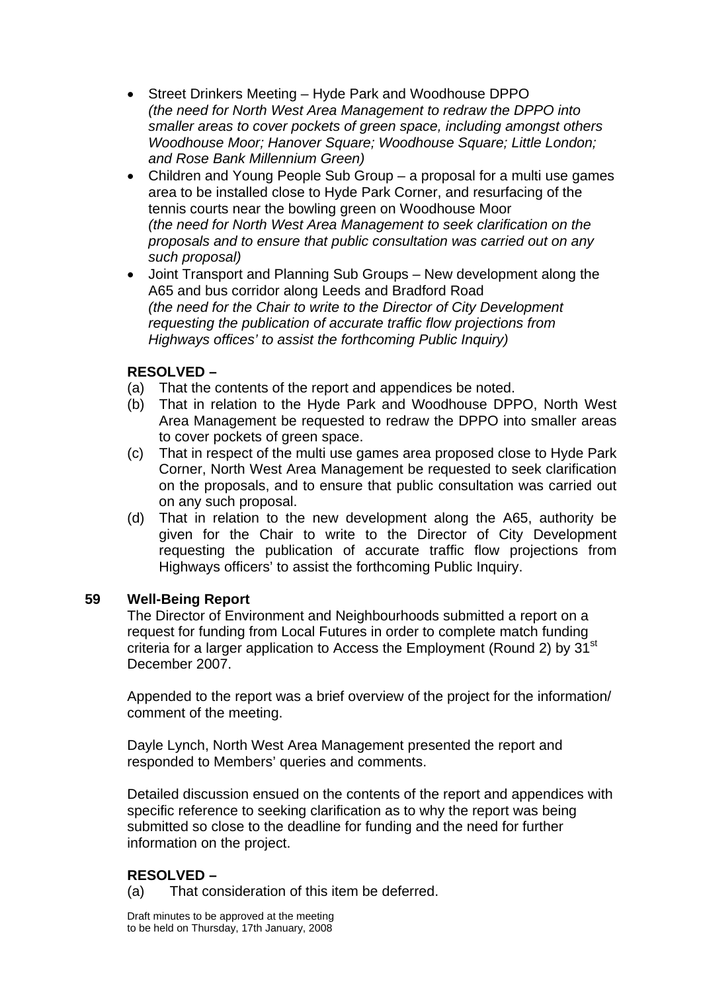- Street Drinkers Meeting Hyde Park and Woodhouse DPPO *(the need for North West Area Management to redraw the DPPO into smaller areas to cover pockets of green space, including amongst others Woodhouse Moor; Hanover Square; Woodhouse Square; Little London; and Rose Bank Millennium Green)*
- Children and Young People Sub Group a proposal for a multi use games area to be installed close to Hyde Park Corner, and resurfacing of the tennis courts near the bowling green on Woodhouse Moor *(the need for North West Area Management to seek clarification on the proposals and to ensure that public consultation was carried out on any such proposal)*
- Joint Transport and Planning Sub Groups New development along the A65 and bus corridor along Leeds and Bradford Road *(the need for the Chair to write to the Director of City Development requesting the publication of accurate traffic flow projections from Highways offices' to assist the forthcoming Public Inquiry)*

## **RESOLVED –**

- (a) That the contents of the report and appendices be noted.
- (b) That in relation to the Hyde Park and Woodhouse DPPO, North West Area Management be requested to redraw the DPPO into smaller areas to cover pockets of green space.
- (c) That in respect of the multi use games area proposed close to Hyde Park Corner, North West Area Management be requested to seek clarification on the proposals, and to ensure that public consultation was carried out on any such proposal.
- (d) That in relation to the new development along the A65, authority be given for the Chair to write to the Director of City Development requesting the publication of accurate traffic flow projections from Highways officers' to assist the forthcoming Public Inquiry.

### **59 Well-Being Report**

The Director of Environment and Neighbourhoods submitted a report on a request for funding from Local Futures in order to complete match funding criteria for a larger application to Access the Employment (Round 2) by 31<sup>st</sup> December 2007.

Appended to the report was a brief overview of the project for the information/ comment of the meeting.

Dayle Lynch, North West Area Management presented the report and responded to Members' queries and comments.

Detailed discussion ensued on the contents of the report and appendices with specific reference to seeking clarification as to why the report was being submitted so close to the deadline for funding and the need for further information on the project.

# **RESOLVED –**

(a) That consideration of this item be deferred.

Draft minutes to be approved at the meeting to be held on Thursday, 17th January, 2008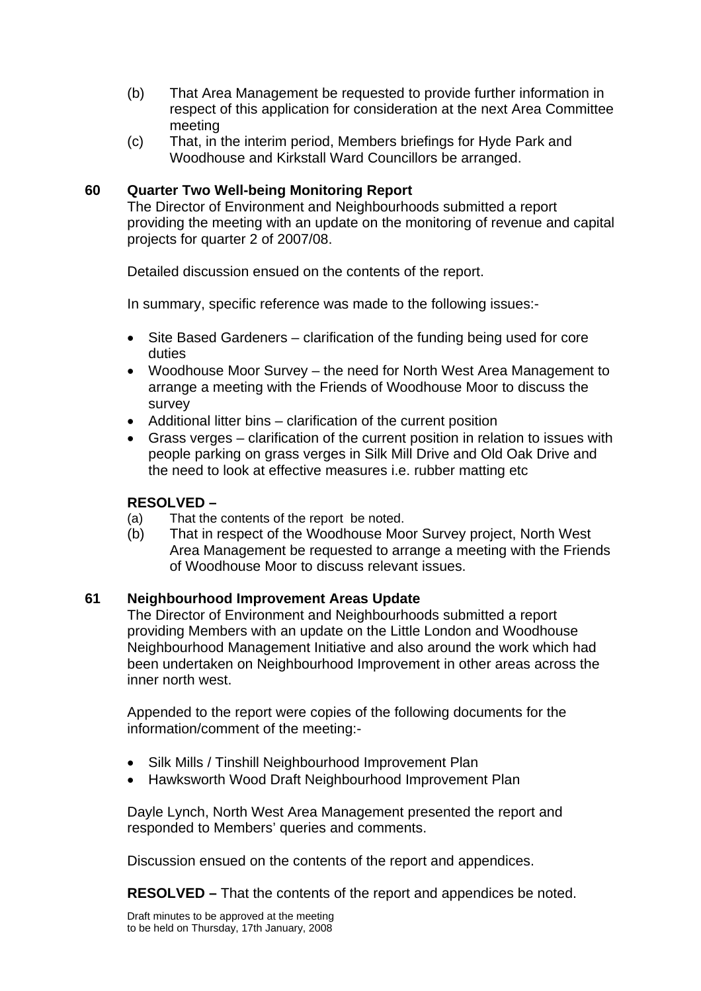- (b) That Area Management be requested to provide further information in respect of this application for consideration at the next Area Committee meeting
- (c) That, in the interim period, Members briefings for Hyde Park and Woodhouse and Kirkstall Ward Councillors be arranged.

### **60 Quarter Two Well-being Monitoring Report**

The Director of Environment and Neighbourhoods submitted a report providing the meeting with an update on the monitoring of revenue and capital projects for quarter 2 of 2007/08.

Detailed discussion ensued on the contents of the report.

In summary, specific reference was made to the following issues:-

- Site Based Gardeners clarification of the funding being used for core duties
- Woodhouse Moor Survey the need for North West Area Management to arrange a meeting with the Friends of Woodhouse Moor to discuss the survey
- Additional litter bins clarification of the current position
- Grass verges clarification of the current position in relation to issues with people parking on grass verges in Silk Mill Drive and Old Oak Drive and the need to look at effective measures i.e. rubber matting etc

### **RESOLVED –**

- (a) That the contents of the report be noted.
- (b) That in respect of the Woodhouse Moor Survey project, North West Area Management be requested to arrange a meeting with the Friends of Woodhouse Moor to discuss relevant issues.

### **61 Neighbourhood Improvement Areas Update**

The Director of Environment and Neighbourhoods submitted a report providing Members with an update on the Little London and Woodhouse Neighbourhood Management Initiative and also around the work which had been undertaken on Neighbourhood Improvement in other areas across the inner north west.

Appended to the report were copies of the following documents for the information/comment of the meeting:-

- Silk Mills / Tinshill Neighbourhood Improvement Plan
- Hawksworth Wood Draft Neighbourhood Improvement Plan

Dayle Lynch, North West Area Management presented the report and responded to Members' queries and comments.

Discussion ensued on the contents of the report and appendices.

**RESOLVED –** That the contents of the report and appendices be noted.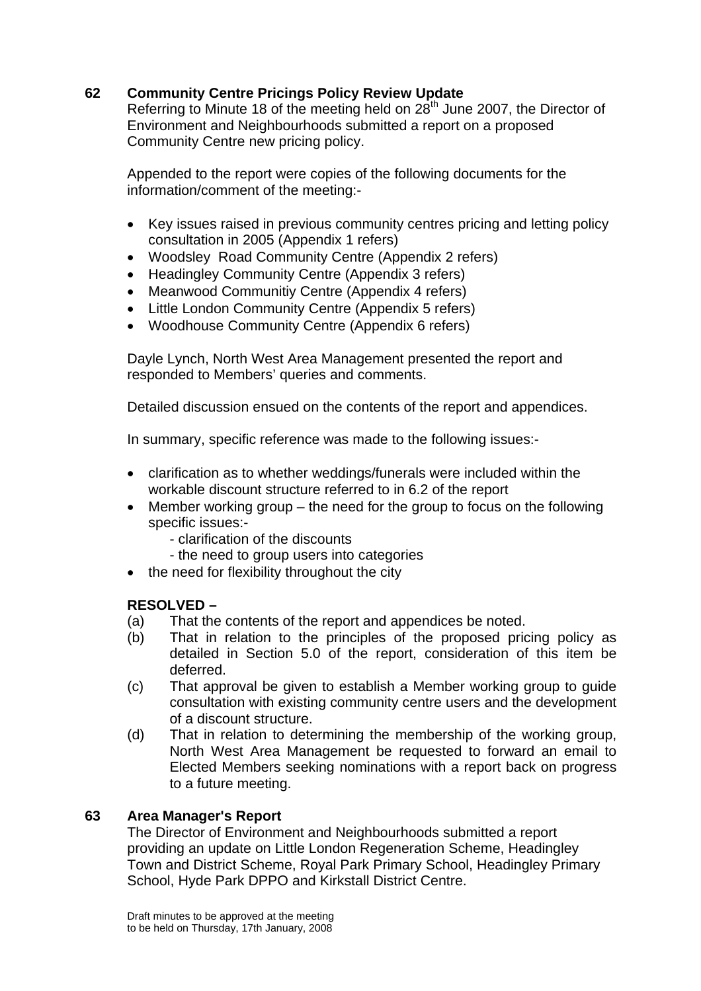# **62 Community Centre Pricings Policy Review Update**

Referring to Minute 18 of the meeting held on  $28<sup>th</sup>$  June 2007, the Director of Environment and Neighbourhoods submitted a report on a proposed Community Centre new pricing policy.

Appended to the report were copies of the following documents for the information/comment of the meeting:-

- Key issues raised in previous community centres pricing and letting policy consultation in 2005 (Appendix 1 refers)
- Woodsley Road Community Centre (Appendix 2 refers)
- Headingley Community Centre (Appendix 3 refers)
- Meanwood Communitiy Centre (Appendix 4 refers)
- Little London Community Centre (Appendix 5 refers)
- Woodhouse Community Centre (Appendix 6 refers)

Dayle Lynch, North West Area Management presented the report and responded to Members' queries and comments.

Detailed discussion ensued on the contents of the report and appendices.

In summary, specific reference was made to the following issues:-

- clarification as to whether weddings/funerals were included within the workable discount structure referred to in 6.2 of the report
- Member working group the need for the group to focus on the following specific issues:-
	- clarification of the discounts
	- the need to group users into categories
- the need for flexibility throughout the city

# **RESOLVED –**

- (a) That the contents of the report and appendices be noted.
- (b) That in relation to the principles of the proposed pricing policy as detailed in Section 5.0 of the report, consideration of this item be deferred.
- (c) That approval be given to establish a Member working group to guide consultation with existing community centre users and the development of a discount structure.
- (d) That in relation to determining the membership of the working group, North West Area Management be requested to forward an email to Elected Members seeking nominations with a report back on progress to a future meeting.

# **63 Area Manager's Report**

The Director of Environment and Neighbourhoods submitted a report providing an update on Little London Regeneration Scheme, Headingley Town and District Scheme, Royal Park Primary School, Headingley Primary School, Hyde Park DPPO and Kirkstall District Centre.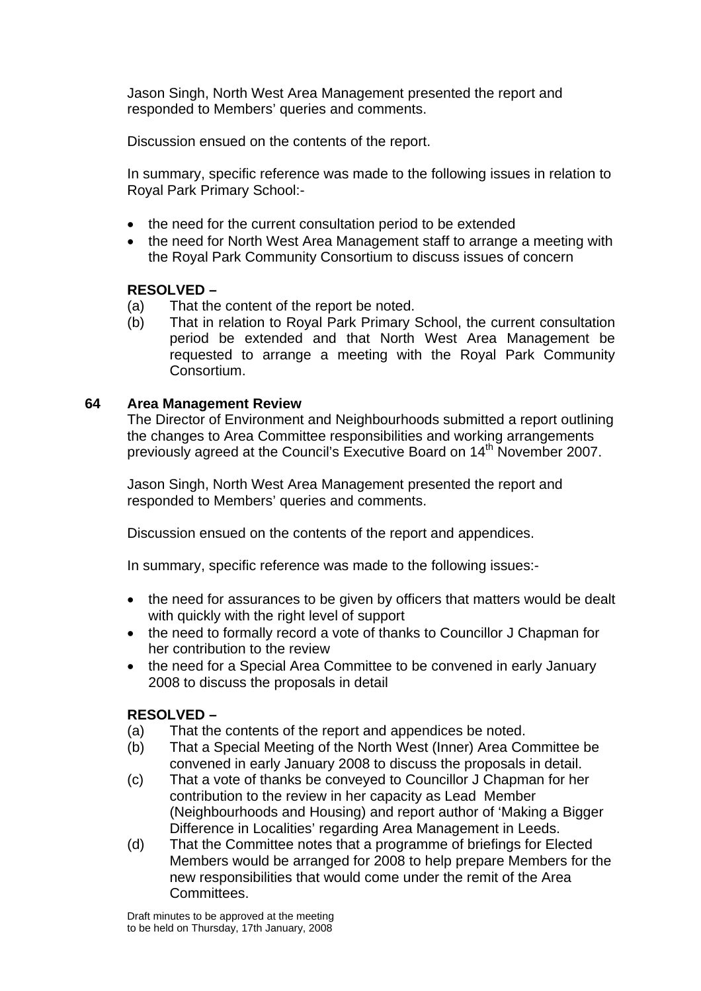Jason Singh, North West Area Management presented the report and responded to Members' queries and comments.

Discussion ensued on the contents of the report.

In summary, specific reference was made to the following issues in relation to Royal Park Primary School:-

- the need for the current consultation period to be extended
- the need for North West Area Management staff to arrange a meeting with the Royal Park Community Consortium to discuss issues of concern

#### **RESOLVED –**

- (a) That the content of the report be noted.
- (b) That in relation to Royal Park Primary School, the current consultation period be extended and that North West Area Management be requested to arrange a meeting with the Royal Park Community Consortium.

#### **64 Area Management Review**

The Director of Environment and Neighbourhoods submitted a report outlining the changes to Area Committee responsibilities and working arrangements previously agreed at the Council's Executive Board on 14<sup>th</sup> November 2007.

Jason Singh, North West Area Management presented the report and responded to Members' queries and comments.

Discussion ensued on the contents of the report and appendices.

In summary, specific reference was made to the following issues:-

- the need for assurances to be given by officers that matters would be dealt with quickly with the right level of support
- the need to formally record a vote of thanks to Councillor J Chapman for her contribution to the review
- the need for a Special Area Committee to be convened in early January 2008 to discuss the proposals in detail

### **RESOLVED –**

- (a) That the contents of the report and appendices be noted.
- (b) That a Special Meeting of the North West (Inner) Area Committee be convened in early January 2008 to discuss the proposals in detail.
- (c) That a vote of thanks be conveyed to Councillor J Chapman for her contribution to the review in her capacity as Lead Member (Neighbourhoods and Housing) and report author of 'Making a Bigger Difference in Localities' regarding Area Management in Leeds.
- (d) That the Committee notes that a programme of briefings for Elected Members would be arranged for 2008 to help prepare Members for the new responsibilities that would come under the remit of the Area Committees.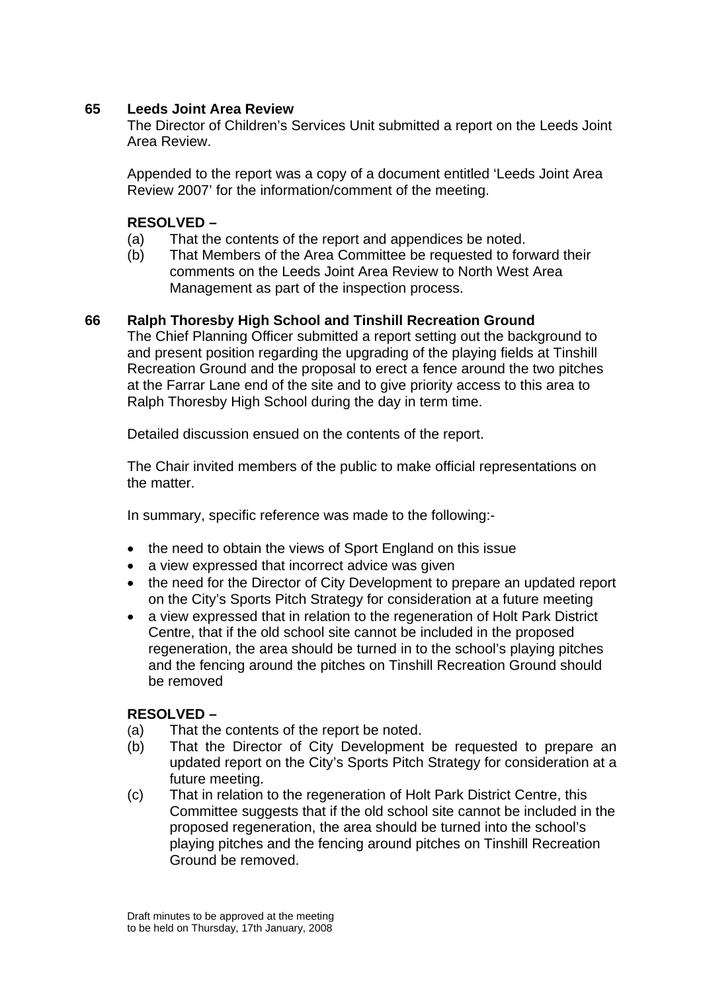## **65 Leeds Joint Area Review**

The Director of Children's Services Unit submitted a report on the Leeds Joint Area Review.

Appended to the report was a copy of a document entitled 'Leeds Joint Area Review 2007' for the information/comment of the meeting.

## **RESOLVED –**

- (a) That the contents of the report and appendices be noted.
- (b) That Members of the Area Committee be requested to forward their comments on the Leeds Joint Area Review to North West Area Management as part of the inspection process.

### **66 Ralph Thoresby High School and Tinshill Recreation Ground**

The Chief Planning Officer submitted a report setting out the background to and present position regarding the upgrading of the playing fields at Tinshill Recreation Ground and the proposal to erect a fence around the two pitches at the Farrar Lane end of the site and to give priority access to this area to Ralph Thoresby High School during the day in term time.

Detailed discussion ensued on the contents of the report.

The Chair invited members of the public to make official representations on the matter.

In summary, specific reference was made to the following:-

- the need to obtain the views of Sport England on this issue
- a view expressed that incorrect advice was given
- the need for the Director of City Development to prepare an updated report on the City's Sports Pitch Strategy for consideration at a future meeting
- a view expressed that in relation to the regeneration of Holt Park District Centre, that if the old school site cannot be included in the proposed regeneration, the area should be turned in to the school's playing pitches and the fencing around the pitches on Tinshill Recreation Ground should be removed

### **RESOLVED –**

- (a) That the contents of the report be noted.
- (b) That the Director of City Development be requested to prepare an updated report on the City's Sports Pitch Strategy for consideration at a future meeting.
- (c) That in relation to the regeneration of Holt Park District Centre, this Committee suggests that if the old school site cannot be included in the proposed regeneration, the area should be turned into the school's playing pitches and the fencing around pitches on Tinshill Recreation Ground be removed.